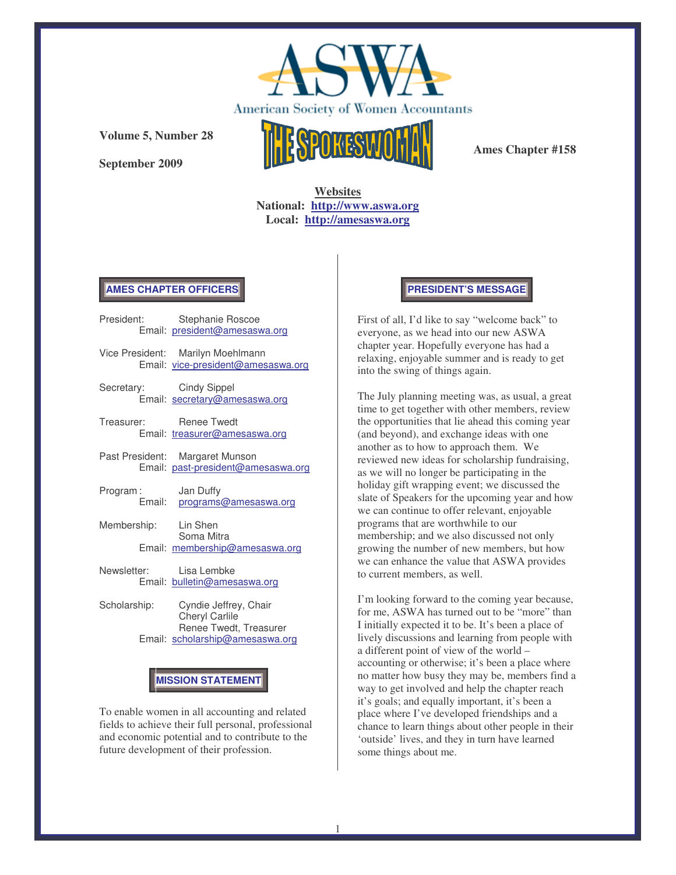

**September 2009**



**Ames Chapter #158**

**Websites National: http://www.aswa.org Local: http://amesaswa.org**

# **AMES CHAPTER OFFICERS**

| President:              | Stephanie Roscoe<br>Email: president@amesaswa.org                       |
|-------------------------|-------------------------------------------------------------------------|
|                         | Vice President: Marilyn Moehlmann<br>Email: vice-president@amesaswa.org |
| Secretary:              | Cindy Sippel<br>Email: secretary@amesaswa.org                           |
| Treasurer: Renee Twedt  | Email: treasurer@amesaswa.org                                           |
|                         | Past President: Margaret Munson<br>Email: past-president@amesaswa.org   |
| Program:                | Jan Duffy<br>Email: programs@amesaswa.org                               |
| Membership: Lin Shen    | Soma Mitra<br>Email: membership@amesaswa.org                            |
| Newsletter: Lisa Lembke | Email: bulletin@amesaswa.org                                            |

Scholarship: Cyndie Jeffrey, Chair Cheryl Carlile Renee Twedt, Treasurer Email: scholarship@amesaswa.org

# **MISSION STATEMENT**

To enable women in all accounting and related fields to achieve their full personal, professional and economic potential and to contribute to the future development of their profession.

#### **PRESIDENT'S MESSAGE**

First of all, I'd like to say "welcome back" to everyone, as we head into our new ASWA chapter year. Hopefully everyone has had a relaxing, enjoyable summer and is ready to get into the swing of things again.

The July planning meeting was, as usual, a great time to get together with other members, review the opportunities that lie ahead this coming year (and beyond), and exchange ideas with one another as to how to approach them. We reviewed new ideas for scholarship fundraising, as we will no longer be participating in the holiday gift wrapping event; we discussed the slate of Speakers for the upcoming year and how we can continue to offer relevant, enjoyable programs that are worthwhile to our membership; and we also discussed not only growing the number of new members, but how we can enhance the value that ASWA provides to current members, as well.

I'm looking forward to the coming year because, for me, ASWA has turned out to be "more" than I initially expected it to be. It's been a place of lively discussions and learning from people with a different point of view of the world – accounting or otherwise; it's been a place where no matter how busy they may be, members find a way to get involved and help the chapter reach it's goals; and equally important, it's been a place where I've developed friendships and a chance to learn things about other people in their 'outside' lives, and they in turn have learned some things about me.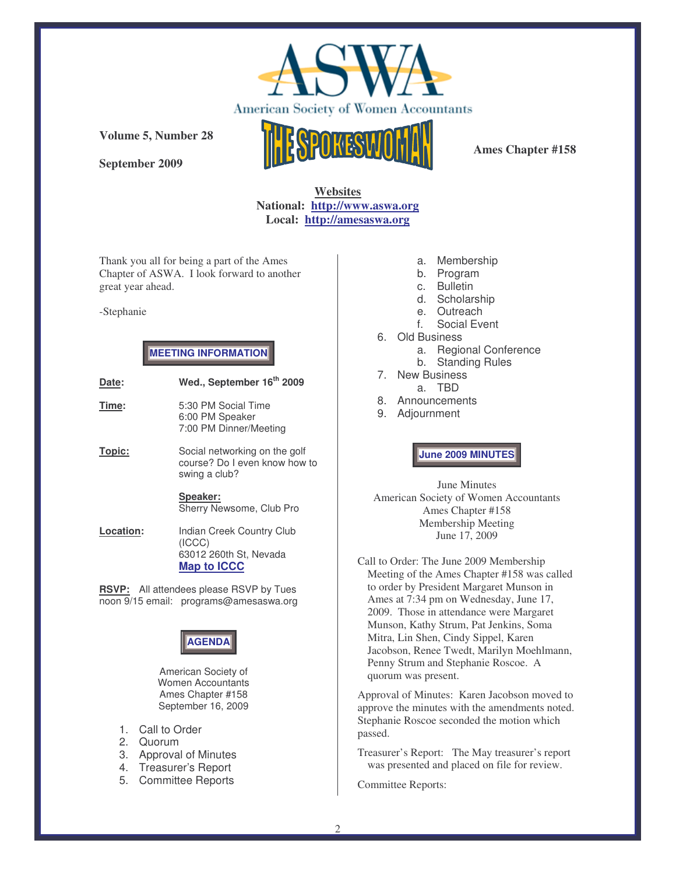

**September 2009**



**Ames Chapter #158**

**Websites National: http://www.aswa.org Local: http://amesaswa.org**

Thank you all for being a part of the Ames Chapter of ASWA. I look forward to another great year ahead.

#### -Stephanie

# **MEETING INFORMATION**

**Date: Wed., September 16 th 2009 Time:** 5:30 PM Social Time 6:00 PM Speaker 7:00 PM Dinner/Meeting **Topic:** Social networking on the golf course? Do I even know how to swing a club? **Speaker:** Sherry Newsome, Club Pro **Location:** Indian Creek Country Club

(ICCC) 63012 260th St, Nevada **Map to ICCC**

**RSVP:** All attendees please RSVP by Tues noon 9/15 email: programs@amesaswa.org



American Society of Women Accountants Ames Chapter #158 September 16, 2009

- 1. Call to Order
- 2. Quorum
- 3. Approval of Minutes
- 4. Treasurer's Report
- 5. Committee Reports
- a. Membership
- b. Program
- c. Bulletin
- d. Scholarship
- e. Outreach
- f. Social Event
- 6. Old Business
	- a. Regional Conference
	- b. Standing Rules
- 7. New Business
	- a. TBD
- 8. Announcements
- 9. Adjournment

**June 2009 MINUTES**

June Minutes American Society of Women Accountants Ames Chapter #158 Membership Meeting June 17, 2009

Call to Order: The June 2009 Membership Meeting of the Ames Chapter #158 was called to order by President Margaret Munson in Ames at 7:34 pm on Wednesday, June 17, 2009. Those in attendance were Margaret Munson, Kathy Strum, Pat Jenkins, Soma Mitra, Lin Shen, Cindy Sippel, Karen Jacobson, Renee Twedt, Marilyn Moehlmann, Penny Strum and Stephanie Roscoe. A quorum was present.

Approval of Minutes: Karen Jacobson moved to approve the minutes with the amendments noted. Stephanie Roscoe seconded the motion which passed.

Treasurer's Report: The May treasurer's report was presented and placed on file for review.

Committee Reports: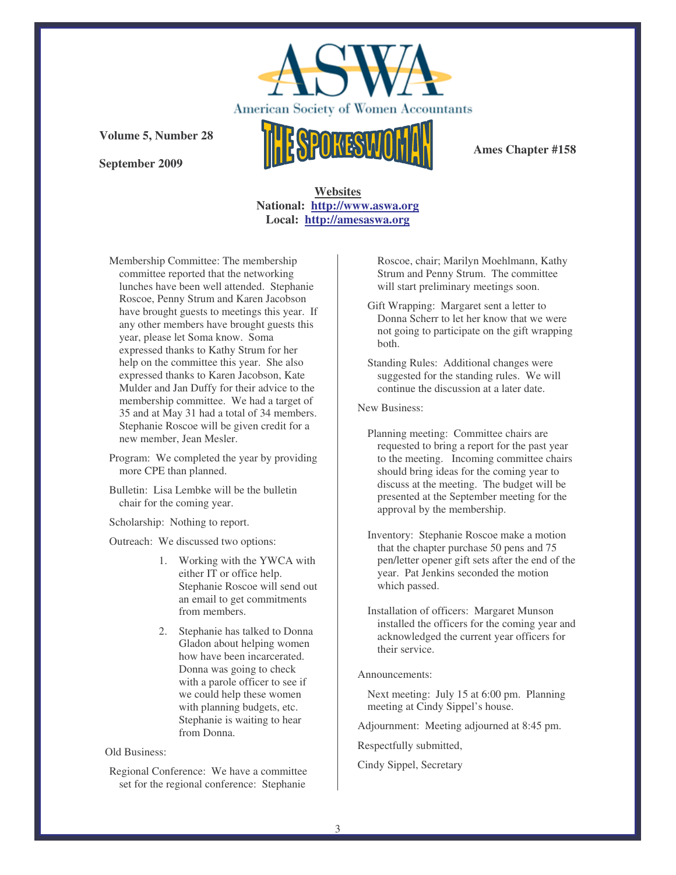

**September 2009**



**Ames Chapter #158**

# **Websites National: http://www.aswa.org Local: http://amesaswa.org**

Membership Committee: The membership committee reported that the networking lunches have been well attended. Stephanie Roscoe, Penny Strum and Karen Jacobson have brought guests to meetings this year. If any other members have brought guests this year, please let Soma know. Soma expressed thanks to Kathy Strum for her help on the committee this year. She also expressed thanks to Karen Jacobson, Kate Mulder and Jan Duffy for their advice to the membership committee. We had a target of 35 and at May 31 had a total of 34 members. Stephanie Roscoe will be given credit for a new member, Jean Mesler.

- Program: We completed the year by providing more CPE than planned.
- Bulletin: Lisa Lembke will be the bulletin chair for the coming year.
- Scholarship: Nothing to report.

Outreach: We discussed two options:

- 1. Working with the YWCA with either IT or office help. Stephanie Roscoe will send out an email to get commitments from members.
- 2. Stephanie has talked to Donna Gladon about helping women how have been incarcerated. Donna was going to check with a parole officer to see if we could help these women with planning budgets, etc. Stephanie is waiting to hear from Donna.

Old Business:

Regional Conference: We have a committee set for the regional conference: Stephanie

Roscoe, chair; Marilyn Moehlmann, Kathy Strum and Penny Strum. The committee will start preliminary meetings soon.

- Gift Wrapping: Margaret sent a letter to Donna Scherr to let her know that we were not going to participate on the gift wrapping both.
- Standing Rules: Additional changes were suggested for the standing rules. We will continue the discussion at a later date.

New Business:

Planning meeting: Committee chairs are requested to bring a report for the past year to the meeting. Incoming committee chairs should bring ideas for the coming year to discuss at the meeting. The budget will be presented at the September meeting for the approval by the membership.

- Inventory: Stephanie Roscoe make a motion that the chapter purchase 50 pens and 75 pen/letter opener gift sets after the end of the year. Pat Jenkins seconded the motion which passed.
- Installation of officers: Margaret Munson installed the officers for the coming year and acknowledged the current year officers for their service.

#### Announcements:

Next meeting: July 15 at 6:00 pm. Planning meeting at Cindy Sippel's house.

Adjournment: Meeting adjourned at 8:45 pm.

Respectfully submitted,

Cindy Sippel, Secretary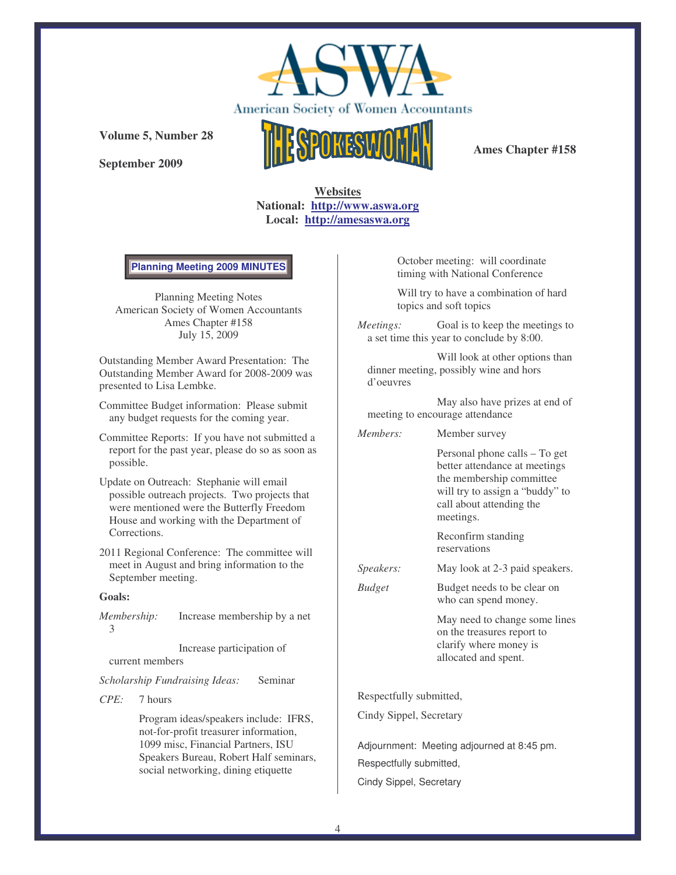

**September 2009**



**Ames Chapter #158**

**Websites National: http://www.aswa.org Local: http://amesaswa.org**

**Planning Meeting 2009 MINUTES**

Planning Meeting Notes American Society of Women Accountants Ames Chapter #158 July 15, 2009

Outstanding Member Award Presentation: The Outstanding Member Award for 2008-2009 was presented to Lisa Lembke.

Committee Budget information: Please submit any budget requests for the coming year.

- Committee Reports: If you have not submitted a report for the past year, please do so as soon as possible.
- Update on Outreach: Stephanie will email possible outreach projects. Two projects that were mentioned were the Butterfly Freedom House and working with the Department of Corrections.
- 2011 Regional Conference: The committee will meet in August and bring information to the September meeting.

#### **Goals:**

*Membership:* Increase membership by a net 3

Increase participation of current members

*Scholarship Fundraising Ideas:* Seminar

#### *CPE:* 7 hours

Program ideas/speakers include: IFRS, not-for-profit treasurer information, 1099 misc, Financial Partners, ISU Speakers Bureau, Robert Half seminars, social networking, dining etiquette

October meeting: will coordinate timing with National Conference

Will try to have a combination of hard topics and soft topics

*Meetings:* Goal is to keep the meetings to a set time this year to conclude by 8:00.

Will look at other options than dinner meeting, possibly wine and hors d'oeuvres

May also have prizes at end of meeting to encourage attendance

*Members:* Member survey

Personal phone calls – To get better attendance at meetings the membership committee will try to assign a "buddy" to call about attending the meetings.

Reconfirm standing reservations

- *Speakers:* May look at 2-3 paid speakers.
- *Budget* Budget needs to be clear on who can spend money.

May need to change some lines on the treasures report to clarify where money is allocated and spent.

Respectfully submitted,

Cindy Sippel, Secretary

Adjournment: Meeting adjourned at 8:45 pm. Respectfully submitted, Cindy Sippel, Secretary